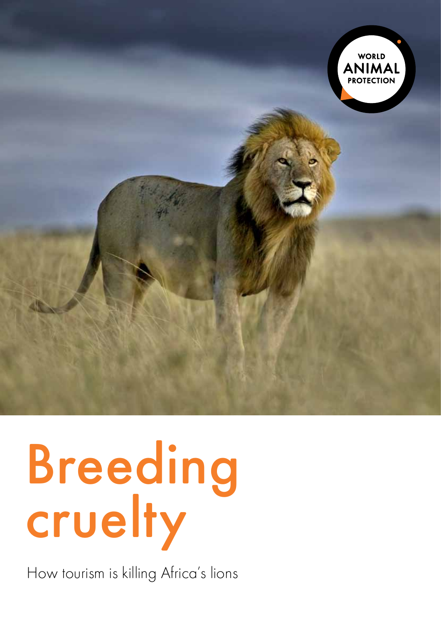

# Breeding cruelty

How tourism is killing Africa's lions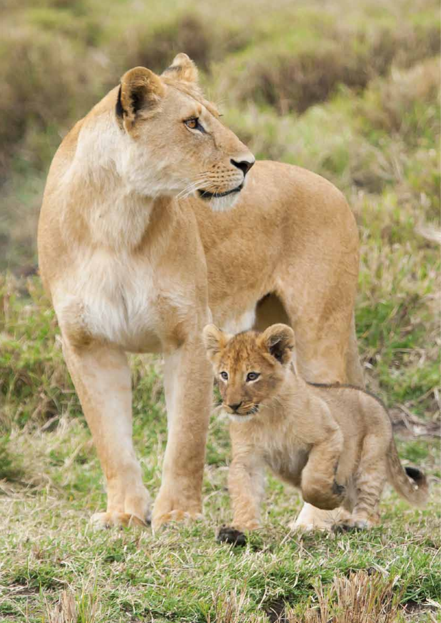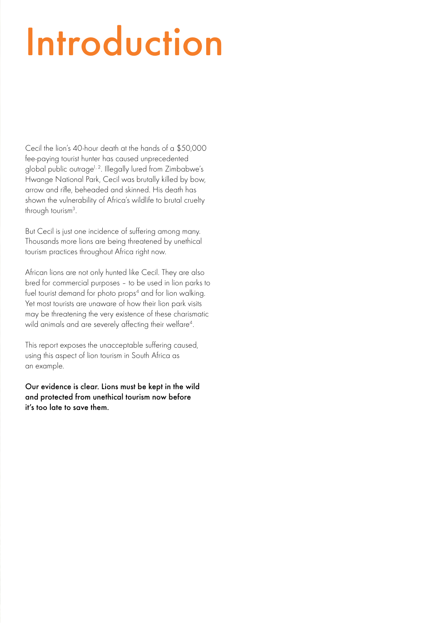#### Introduction

Cecil the lion's 40-hour death at the hands of a \$50,000 fee-paying tourist hunter has caused unprecedented global public outrage<sup>1, 2</sup>. Illegally lured from Zimbabwe's Hwange National Park, Cecil was brutally killed by bow, arrow and rifle, beheaded and skinned. His death has shown the vulnerability of Africa's wildlife to brutal cruelty through tourism<sup>3</sup>.

But Cecil is just one incidence of suffering among many. Thousands more lions are being threatened by unethical tourism practices throughout Africa right now.

African lions are not only hunted like Cecil. They are also bred for commercial purposes – to be used in lion parks to fuel tourist demand for photo props<sup>4</sup> and for lion walking. Yet most tourists are unaware of how their lion park visits may be threatening the very existence of these charismatic wild animals and are severely affecting their welfare<sup>4</sup>.

This report exposes the unacceptable suffering caused, using this aspect of lion tourism in South Africa as an example.

Our evidence is clear. Lions must be kept in the wild and protected from unethical tourism now before it's too late to save them.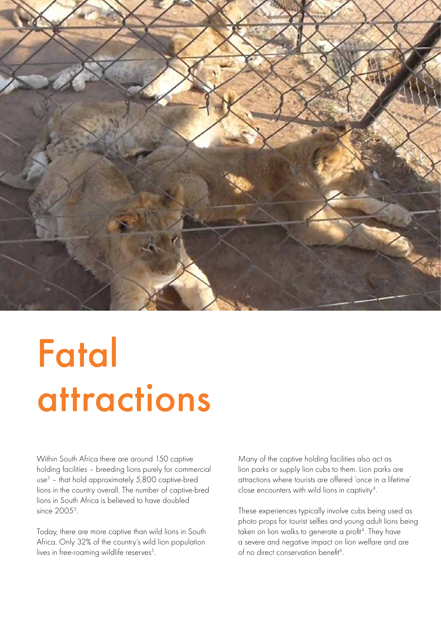

### Fatal attractions

Within South Africa there are around 150 captive holding facilities – breeding lions purely for commercial use5 – that hold approximately 5,800 captive-bred lions in the country overall. The number of captive-bred lions in South Africa is believed to have doubled since 2005<sup>5</sup>.

Today, there are more captive than wild lions in South Africa. Only 32% of the country's wild lion population lives in free-roaming wildlife reserves<sup>5</sup>.

Many of the captive holding facilities also act as lion parks or supply lion cubs to them. Lion parks are attractions where tourists are offered 'once in a lifetime' close encounters with wild lions in captivity<sup>4</sup>.

These experiences typically involve cubs being used as photo props for tourist selfies and young adult lions being taken on lion walks to generate a profit<sup>4</sup>. They have a severe and negative impact on lion welfare and are of no direct conservation benefit<sup>6</sup>.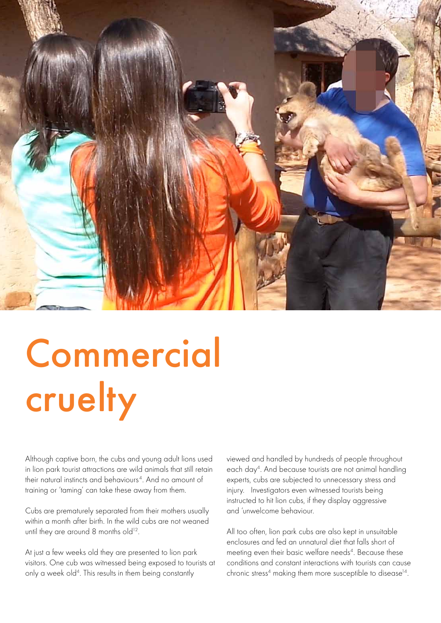

# Commercial cruelty

Although captive born, the cubs and young adult lions used in lion park tourist attractions are wild animals that still retain their natural instincts and behaviours<sup>4</sup>. And no amount of training or 'taming' can take these away from them.

Cubs are prematurely separated from their mothers usually within a month after birth. In the wild cubs are not weaned until they are around 8 months old<sup>12</sup>.

At just a few weeks old they are presented to lion park visitors. One cub was witnessed being exposed to tourists at only a week old<sup>4</sup>. This results in them being constantly

viewed and handled by hundreds of people throughout each day4. And because tourists are not animal handling experts, cubs are subjected to unnecessary stress and injury. Investigators even witnessed tourists being instructed to hit lion cubs, if they display aggressive and 'unwelcome behaviour.

All too often, lion park cubs are also kept in unsuitable enclosures and fed an unnatural diet that falls short of meeting even their basic welfare needs<sup>4</sup>. Because these conditions and constant interactions with tourists can cause chronic stress<sup>4</sup> making them more susceptible to disease<sup>14</sup>.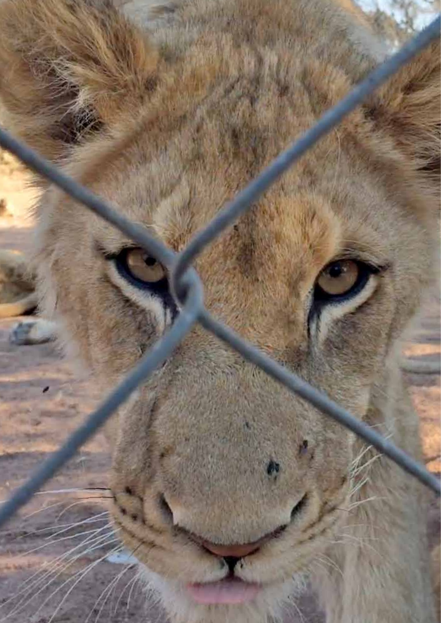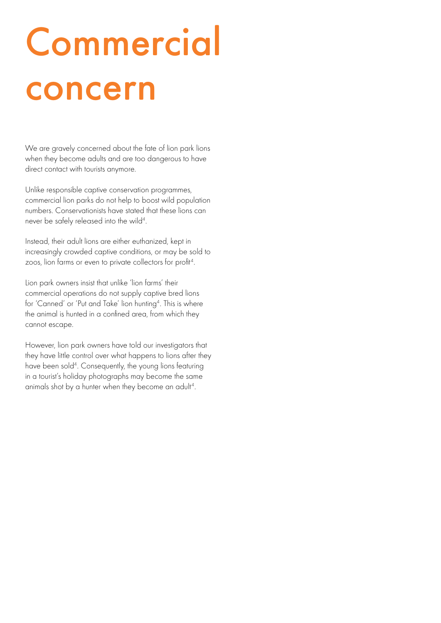## Commercial concern

We are gravely concerned about the fate of lion park lions when they become adults and are too dangerous to have direct contact with tourists anymore.

Unlike responsible captive conservation programmes, commercial lion parks do not help to boost wild population numbers. Conservationists have stated that these lions can never be safely released into the wild<sup>4</sup>.

Instead, their adult lions are either euthanized, kept in increasingly crowded captive conditions, or may be sold to zoos, lion farms or even to private collectors for profit<sup>4</sup>.

Lion park owners insist that unlike 'lion farms' their commercial operations do not supply captive bred lions for 'Canned' or 'Put and Take' lion hunting<sup>4</sup>. This is where the animal is hunted in a confined area, from which they cannot escape.

However, lion park owners have told our investigators that they have little control over what happens to lions after they have been sold<sup>4</sup>. Consequently, the young lions featuring in a tourist's holiday photographs may become the same animals shot by a hunter when they become an adult<sup>4</sup>.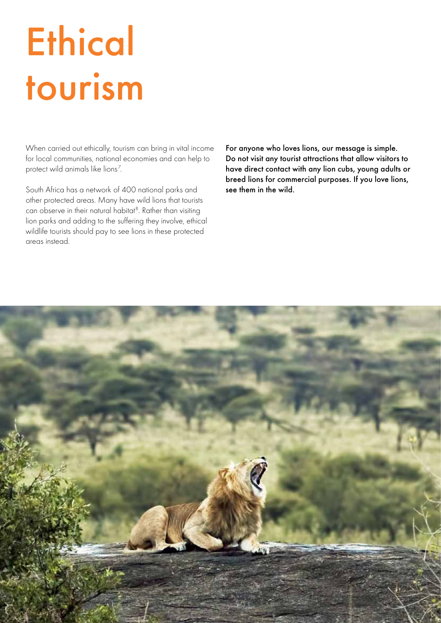# **Ethical** tourism

When carried out ethically, tourism can bring in vital income for local communities, national economies and can help to protect wild animals like lions<sup>7</sup>.

South Africa has a network of 400 national parks and other protected areas. Many have wild lions that tourists can observe in their natural habitat<sup>8</sup>. Rather than visiting lion parks and adding to the suffering they involve, ethical wildlife tourists should pay to see lions in these protected areas instead.

For anyone who loves lions, our message is simple. Do not visit any tourist attractions that allow visitors to have direct contact with any lion cubs, young adults or breed lions for commercial purposes. If you love lions, see them in the wild.

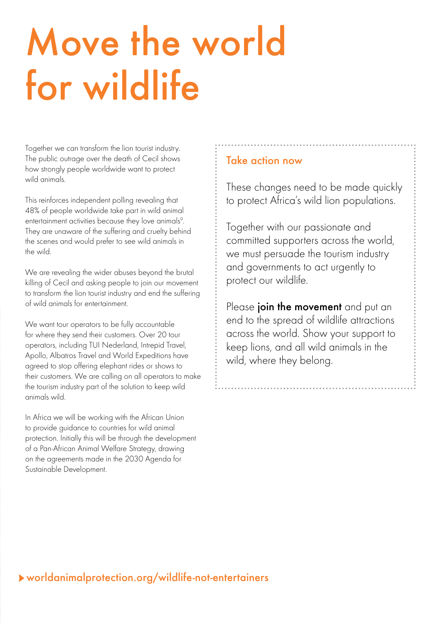### Move the world for wildlife

Together we can transform the lion tourist industry. The public outrage over the death of Cecil shows how strongly people worldwide want to protect wild animals.

This reinforces independent polling revealing that 48% of people worldwide take part in wild animal entertainment activities because they love animals<sup>9</sup>. They are unaware of the suffering and cruelty behind the scenes and would prefer to see wild animals in the wild.

We are revealing the wider abuses beyond the brutal killing of Cecil and asking people to join our movement to transform the lion tourist industry and end the suffering of wild animals for entertainment.

We want tour operators to be fully accountable for where they send their customers. Over 20 tour operators, including TUI Nederland, Intrepid Travel, Apollo, Albatros Travel and World Expeditions have agreed to stop offering elephant rides or shows to their customers. We are calling on all operators to make the tourism industry part of the solution to keep wild animals wild.

In Africa we will be working with the African Union to provide guidance to countries for wild animal protection. Initially this will be through the development of a Pan-African Animal Welfare Strategy, drawing on the agreements made in the 2030 Agenda for Sustainable Development.

#### Take action now

These changes need to be made quickly to protect Africa's wild lion populations.

Together with our passionate and committed supporters across the world, we must persuade the tourism industry and governments to act urgently to protect our wildlife.

Please [join the movement](www.worldanimalprotection.org/wildlife-not-entertainers) and put an end to the spread of wildlife attractions across the world. Show your support to keep lions, and all wild animals in the wild, where they belong.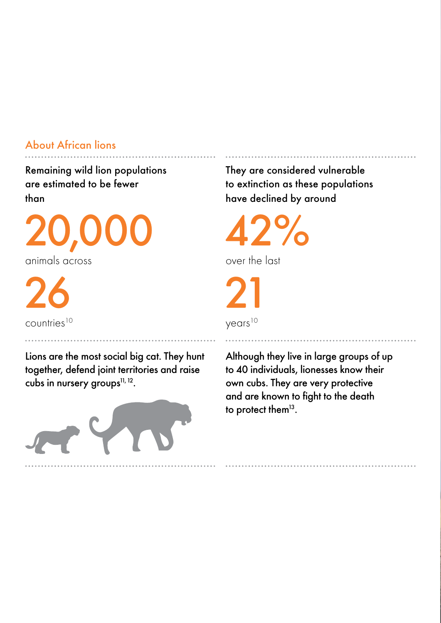#### About African lions

Remaining wild lion populations are estimated to be fewer than

20,000 animals across

26

countries<sup>10</sup>

Lions are the most social big cat. They hunt together, defend joint territories and raise cubs in nursery groups<sup>11, 12</sup>.



They are considered vulnerable to extinction as these populations have declined by around

 $7\%$ 

over the last

21 years<sup>10</sup>

Although they live in large groups of up to 40 individuals, lionesses know their own cubs. They are very protective and are known to fight to the death to protect them<sup>13</sup>.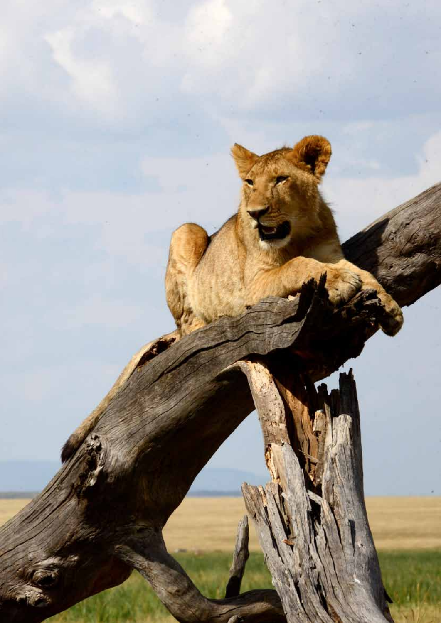